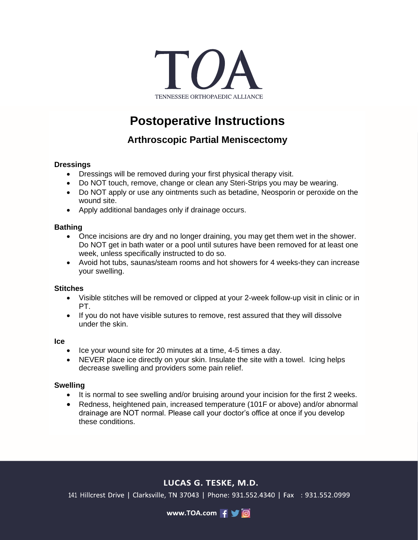

# **Postoperative Instructions**

# **Arthroscopic Partial Meniscectomy**

### **Dressings**

- Dressings will be removed during your first physical therapy visit.
- Do NOT touch, remove, change or clean any Steri-Strips you may be wearing.
- Do NOT apply or use any ointments such as betadine, Neosporin or peroxide on the wound site.
- Apply additional bandages only if drainage occurs.

#### **Bathing**

- Once incisions are dry and no longer draining, you may get them wet in the shower. Do NOT get in bath water or a pool until sutures have been removed for at least one week, unless specifically instructed to do so.
- Avoid hot tubs, saunas/steam rooms and hot showers for 4 weeks-they can increase your swelling.

#### **Stitches**

- Visible stitches will be removed or clipped at your 2-week follow-up visit in clinic or in PT.
- If you do not have visible sutures to remove, rest assured that they will dissolve under the skin.

#### **Ice**

- Ice your wound site for 20 minutes at a time, 4-5 times a day.
- NEVER place ice directly on your skin. Insulate the site with a towel. Icing helps decrease swelling and providers some pain relief.

#### **Swelling**

- It is normal to see swelling and/or bruising around your incision for the first 2 weeks.
- Redness, heightened pain, increased temperature (101F or above) and/or abnormal drainage are NOT normal. Please call your doctor's office at once if you develop these conditions.

# LUCAS G. TESKE, M.D.

141 Hillcrest Drive | Clarksville, TN 37043 | Phone: 931.552.4340 | Fax : 931.552.0999